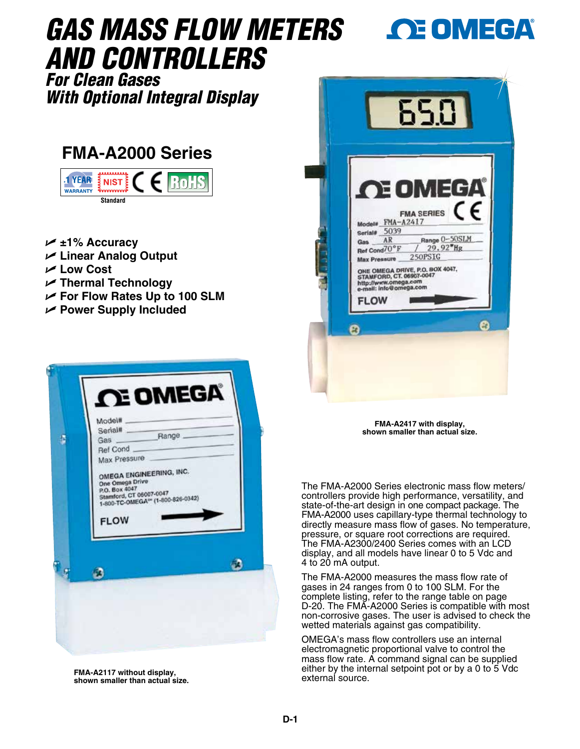# *GAS MASS FLOW METERS AND CONTROLLERS*

## *For Clean Gases With Optional Integral Display*

## **FMA-A2000 Series**



- U **±1% Accuracy** U **Linear Analog Output**
- 
- U **Low Cost**
- U **Thermal Technology**
- U **For Flow Rates Up to 100 SLM**
- U **Power Supply Included**



**FMA-A2117 without display, shown smaller than actual size.**



**OE OMEGA** 

**FMA-A2417 with display, shown smaller than actual size.**

The FMA-A2000 Series electronic mass flow meters/ controllers provide high performance, versatility, and state-of-the-art design in one compact package. The FMA-A2000 uses capillary-type thermal technology to directly measure mass flow of gases. No temperature, pressure, or square root corrections are required. The FMA-A2300/2400 Series comes with an LCD display, and all models have linear 0 to 5 Vdc and 4 to 20 mA output.

The FMA-A2000 measures the mass flow rate of gases in 24 ranges from 0 to 100 SLM. For the complete listing, refer to the range table on page D-20. The FMA-A2000 Series is compatible with most non-corrosive gases. The user is advised to check the wetted materials against gas compatibility.

OMEGA's mass flow controllers use an internal electromagnetic proportional valve to control the mass flow rate. A command signal can be supplied either by the internal setpoint pot or by a 0 to 5 Vdc external source.